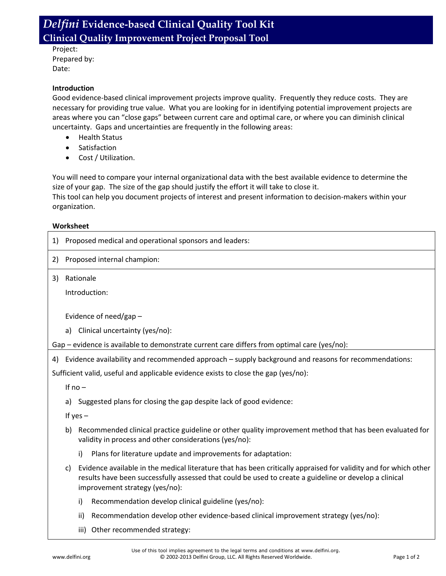## *Delfini* **Evidence-based Clinical Quality Tool Kit Clinical Quality Improvement Project Proposal Tool**

Project: Prepared by: Date:

## **Introduction**

Good evidence-based clinical improvement projects improve quality. Frequently they reduce costs. They are necessary for providing true value. What you are looking for in identifying potential improvement projects are areas where you can "close gaps" between current care and optimal care, or where you can diminish clinical uncertainty. Gaps and uncertainties are frequently in the following areas:

- Health Status
- Satisfaction
- Cost / Utilization.

You will need to compare your internal organizational data with the best available evidence to determine the size of your gap. The size of the gap should justify the effort it will take to close it.

This tool can help you document projects of interest and present information to decision-makers within your organization.

## **Worksheet**

| 1)                                                                                 | Proposed medical and operational sponsors and leaders:                                                                                                                                                                                                             |  |
|------------------------------------------------------------------------------------|--------------------------------------------------------------------------------------------------------------------------------------------------------------------------------------------------------------------------------------------------------------------|--|
| 2)                                                                                 | Proposed internal champion:                                                                                                                                                                                                                                        |  |
| 3)                                                                                 | Rationale                                                                                                                                                                                                                                                          |  |
|                                                                                    | Introduction:                                                                                                                                                                                                                                                      |  |
|                                                                                    | Evidence of need/gap -                                                                                                                                                                                                                                             |  |
|                                                                                    | Clinical uncertainty (yes/no):<br>a)                                                                                                                                                                                                                               |  |
|                                                                                    | Gap – evidence is available to demonstrate current care differs from optimal care (yes/no):                                                                                                                                                                        |  |
| 4)                                                                                 | Evidence availability and recommended approach – supply background and reasons for recommendations:                                                                                                                                                                |  |
| Sufficient valid, useful and applicable evidence exists to close the gap (yes/no): |                                                                                                                                                                                                                                                                    |  |
|                                                                                    | If $no -$                                                                                                                                                                                                                                                          |  |
|                                                                                    | Suggested plans for closing the gap despite lack of good evidence:<br>a)                                                                                                                                                                                           |  |
|                                                                                    | If $yes -$                                                                                                                                                                                                                                                         |  |
|                                                                                    | Recommended clinical practice guideline or other quality improvement method that has been evaluated for<br>b)<br>validity in process and other considerations (yes/no):                                                                                            |  |
|                                                                                    | i)<br>Plans for literature update and improvements for adaptation:                                                                                                                                                                                                 |  |
|                                                                                    | Evidence available in the medical literature that has been critically appraised for validity and for which other<br>C)<br>results have been successfully assessed that could be used to create a guideline or develop a clinical<br>improvement strategy (yes/no): |  |
|                                                                                    | Recommendation develop clinical guideline (yes/no):<br>i)                                                                                                                                                                                                          |  |
|                                                                                    | ii)<br>Recommendation develop other evidence-based clinical improvement strategy (yes/no):                                                                                                                                                                         |  |
|                                                                                    | iii) Other recommended strategy:                                                                                                                                                                                                                                   |  |